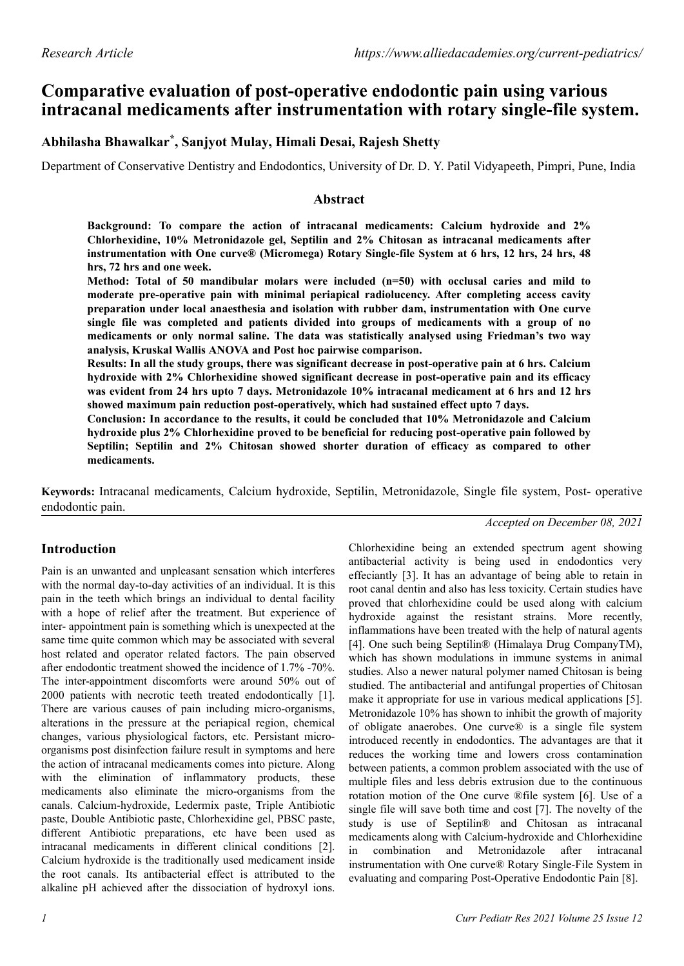# **Comparative evaluation of post-operative endodontic pain using various intracanal medicaments after instrumentation with rotary single-file system.**

# **Abhilasha Bhawalkar\* , Sanjyot Mulay, Himali Desai, Rajesh Shetty**

Department of Conservative Dentistry and Endodontics, University of Dr. D. Y. Patil Vidyapeeth, Pimpri, Pune, India

#### **Abstract**

**Background: To compare the action of intracanal medicaments: Calcium hydroxide and 2% Chlorhexidine, 10% Metronidazole gel, Septilin and 2% Chitosan as intracanal medicaments after instrumentation with One curve® (Micromega) Rotary Single-file System at 6 hrs, 12 hrs, 24 hrs, 48 hrs, 72 hrs and one week.**

**Method: Total of 50 mandibular molars were included (n=50) with occlusal caries and mild to moderate pre-operative pain with minimal periapical radiolucency. After completing access cavity preparation under local anaesthesia and isolation with rubber dam, instrumentation with One curve single file was completed and patients divided into groups of medicaments with a group of no medicaments or only normal saline. The data was statistically analysed using Friedman's two way analysis, Kruskal Wallis ANOVA and Post hoc pairwise comparison.**

**Results: In all the study groups, there was significant decrease in post-operative pain at 6 hrs. Calcium hydroxide with 2% Chlorhexidine showed significant decrease in post-operative pain and its efficacy was evident from 24 hrs upto 7 days. Metronidazole 10% intracanal medicament at 6 hrs and 12 hrs showed maximum pain reduction post-operatively, which had sustained effect upto 7 days.**

**Conclusion: In accordance to the results, it could be concluded that 10% Metronidazole and Calcium hydroxide plus 2% Chlorhexidine proved to be beneficial for reducing post-operative pain followed by Septilin; Septilin and 2% Chitosan showed shorter duration of efficacy as compared to other medicaments.**

**Keywords:** Intracanal medicaments, Calcium hydroxide, Septilin, Metronidazole, Single file system, Post- operative endodontic pain.

# *Accepted on December 08, 2021*

# **Introduction**

Pain is an unwanted and unpleasant sensation which interferes with the normal day-to-day activities of an individual. It is this pain in the teeth which brings an individual to dental facility with a hope of relief after the treatment. But experience of inter- appointment pain is something which is unexpected at the same time quite common which may be associated with several host related and operator related factors. The pain observed after endodontic treatment showed the incidence of 1.7% -70%. The inter-appointment discomforts were around 50% out of 2000 patients with necrotic teeth treated endodontically [1]. There are various causes of pain including micro-organisms, alterations in the pressure at the periapical region, chemical changes, various physiological factors, etc. Persistant microorganisms post disinfection failure result in symptoms and here the action of intracanal medicaments comes into picture. Along with the elimination of inflammatory products, these medicaments also eliminate the micro-organisms from the canals. Calcium-hydroxide, Ledermix paste, Triple Antibiotic paste, Double Antibiotic paste, Chlorhexidine gel, PBSC paste, different Antibiotic preparations, etc have been used as intracanal medicaments in different clinical conditions [2]. Calcium hydroxide is the traditionally used medicament inside the root canals. Its antibacterial effect is attributed to the alkaline pH achieved after the dissociation of hydroxyl ions.

Chlorhexidine being an extended spectrum agent showing antibacterial activity is being used in endodontics very effeciantly [3]. It has an advantage of being able to retain in root canal dentin and also has less toxicity. Certain studies have proved that chlorhexidine could be used along with calcium hydroxide against the resistant strains. More recently, inflammations have been treated with the help of natural agents [4]. One such being Septilin® (Himalaya Drug CompanyTM), which has shown modulations in immune systems in animal studies. Also a newer natural polymer named Chitosan is being studied. The antibacterial and antifungal properties of Chitosan make it appropriate for use in various medical applications [5]. Metronidazole 10% has shown to inhibit the growth of majority of obligate anaerobes. One curve® is a single file system introduced recently in endodontics. The advantages are that it reduces the working time and lowers cross contamination between patients, a common problem associated with the use of multiple files and less debris extrusion due to the continuous rotation motion of the One curve ®file system [6]. Use of a single file will save both time and cost [7]. The novelty of the study is use of Septilin® and Chitosan as intracanal medicaments along with Calcium-hydroxide and Chlorhexidine in combination and Metronidazole after intracanal instrumentation with One curve® Rotary Single-File System in evaluating and comparing Post-Operative Endodontic Pain [8].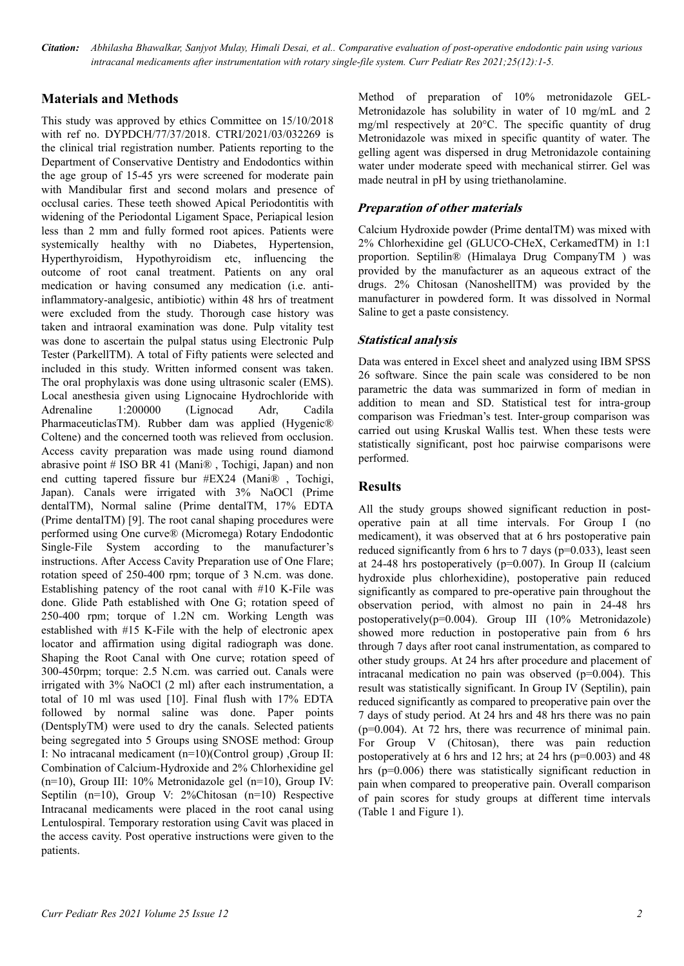*Citation: Abhilasha Bhawalkar, Sanjyot Mulay, Himali Desai, et al.. Comparative evaluation of post-operative endodontic pain using various intracanal medicaments after instrumentation with rotary single-file system. Curr Pediatr Res 2021;25(12):1-5.*

## **Materials and Methods**

This study was approved by ethics Committee on 15/10/2018 with ref no. DYPDCH/77/37/2018. CTRI/2021/03/032269 is the clinical trial registration number. Patients reporting to the Department of Conservative Dentistry and Endodontics within the age group of 15-45 yrs were screened for moderate pain with Mandibular first and second molars and presence of occlusal caries. These teeth showed Apical Periodontitis with widening of the Periodontal Ligament Space, Periapical lesion less than 2 mm and fully formed root apices. Patients were systemically healthy with no Diabetes, Hypertension, Hyperthyroidism, Hypothyroidism etc, influencing the outcome of root canal treatment. Patients on any oral medication or having consumed any medication (i.e. antiinflammatory-analgesic, antibiotic) within 48 hrs of treatment were excluded from the study. Thorough case history was taken and intraoral examination was done. Pulp vitality test was done to ascertain the pulpal status using Electronic Pulp Tester (ParkellTM). A total of Fifty patients were selected and included in this study. Written informed consent was taken. The oral prophylaxis was done using ultrasonic scaler (EMS). Local anesthesia given using Lignocaine Hydrochloride with Adrenaline 1:200000 (Lignocad Adr, Cadila PharmaceuticlasTM). Rubber dam was applied (Hygenic® Coltene) and the concerned tooth was relieved from occlusion. Access cavity preparation was made using round diamond abrasive point # ISO BR 41 (Mani® , Tochigi, Japan) and non end cutting tapered fissure bur #EX24 (Mani® , Tochigi, Japan). Canals were irrigated with 3% NaOCl (Prime dentalTM), Normal saline (Prime dentalTM, 17% EDTA (Prime dentalTM) [9]. The root canal shaping procedures were performed using One curve® (Micromega) Rotary Endodontic Single-File System according to the manufacturer's instructions. After Access Cavity Preparation use of One Flare; rotation speed of 250-400 rpm; torque of 3 N.cm. was done. Establishing patency of the root canal with #10 K-File was done. Glide Path established with One G; rotation speed of 250-400 rpm; torque of 1.2N cm. Working Length was established with #15 K-File with the help of electronic apex locator and affirmation using digital radiograph was done. Shaping the Root Canal with One curve; rotation speed of 300-450rpm; torque: 2.5 N.cm. was carried out. Canals were irrigated with 3% NaOCl (2 ml) after each instrumentation, a total of 10 ml was used [10]. Final flush with 17% EDTA followed by normal saline was done. Paper points (DentsplyTM) were used to dry the canals. Selected patients being segregated into 5 Groups using SNOSE method: Group I: No intracanal medicament (n=10)(Control group) ,Group II: Combination of Calcium-Hydroxide and 2% Chlorhexidine gel (n=10), Group III: 10% Metronidazole gel (n=10), Group IV: Septilin (n=10), Group V: 2%Chitosan (n=10) Respective Intracanal medicaments were placed in the root canal using Lentulospiral. Temporary restoration using Cavit was placed in the access cavity. Post operative instructions were given to the patients.

Method of preparation of 10% metronidazole GEL-Metronidazole has solubility in water of 10 mg/mL and 2 mg/ml respectively at 20°C. The specific quantity of drug Metronidazole was mixed in specific quantity of water. The gelling agent was dispersed in drug Metronidazole containing water under moderate speed with mechanical stirrer. Gel was made neutral in pH by using triethanolamine.

## **Preparation of other materials**

Calcium Hydroxide powder (Prime dentalTM) was mixed with 2% Chlorhexidine gel (GLUCO-CHeX, CerkamedTM) in 1:1 proportion. Septilin® (Himalaya Drug CompanyTM ) was provided by the manufacturer as an aqueous extract of the drugs. 2% Chitosan (NanoshellTM) was provided by the manufacturer in powdered form. It was dissolved in Normal Saline to get a paste consistency.

#### **Statistical analysis**

Data was entered in Excel sheet and analyzed using IBM SPSS 26 software. Since the pain scale was considered to be non parametric the data was summarized in form of median in addition to mean and SD. Statistical test for intra-group comparison was Friedman's test. Inter-group comparison was carried out using Kruskal Wallis test. When these tests were statistically significant, post hoc pairwise comparisons were performed.

# **Results**

All the study groups showed significant reduction in postoperative pain at all time intervals. For Group I (no medicament), it was observed that at 6 hrs postoperative pain reduced significantly from 6 hrs to 7 days ( $p=0.033$ ), least seen at 24-48 hrs postoperatively (p=0.007). In Group II (calcium hydroxide plus chlorhexidine), postoperative pain reduced significantly as compared to pre-operative pain throughout the observation period, with almost no pain in 24-48 hrs postoperatively(p=0.004). Group III (10% Metronidazole) showed more reduction in postoperative pain from 6 hrs through 7 days after root canal instrumentation, as compared to other study groups. At 24 hrs after procedure and placement of intracanal medication no pain was observed (p=0.004). This result was statistically significant. In Group IV (Septilin), pain reduced significantly as compared to preoperative pain over the 7 days of study period. At 24 hrs and 48 hrs there was no pain (p=0.004). At 72 hrs, there was recurrence of minimal pain. For Group V (Chitosan), there was pain reduction postoperatively at 6 hrs and 12 hrs; at 24 hrs ( $p=0.003$ ) and 48 hrs (p=0.006) there was statistically significant reduction in pain when compared to preoperative pain. Overall comparison of pain scores for study groups at different time intervals (Table 1 and Figure 1).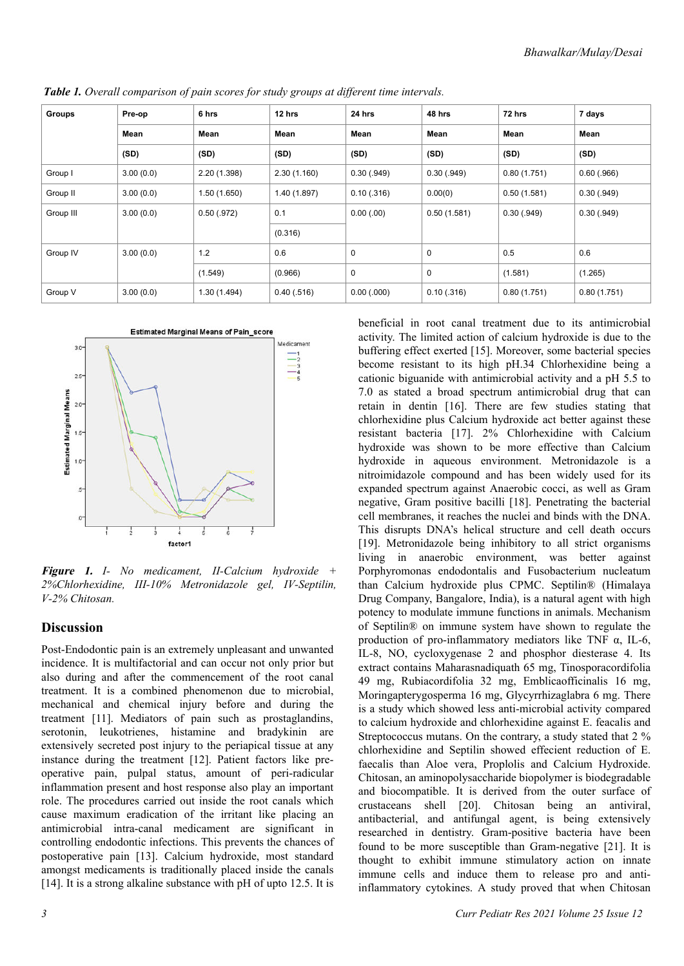| Groups    | Pre-op    | 6 hrs        | 12 hrs       | 24 hrs      | 48 hrs      | 72 hrs      | 7 days        |
|-----------|-----------|--------------|--------------|-------------|-------------|-------------|---------------|
|           | Mean      | Mean         | Mean         | Mean        | Mean        | Mean        | Mean          |
|           | (SD)      | (SD)         | (SD)         | (SD)        | (SD)        | (SD)        | (SD)          |
| Group I   | 3.00(0.0) | 2.20 (1.398) | 2.30(1.160)  | 0.30(.949)  | 0.30(.949)  | 0.80(1.751) | $0.60$ (.966) |
| Group II  | 3.00(0.0) | 1.50(1.650)  | 1.40 (1.897) | 0.10(.316)  | 0.00(0)     | 0.50(1.581) | 0.30(.949)    |
| Group III | 3.00(0.0) | 0.50(.972)   | 0.1          | 0.00(0.00)  | 0.50(1.581) | 0.30(.949)  | 0.30(.949)    |
|           |           |              | (0.316)      |             |             |             |               |
| Group IV  | 3.00(0.0) | 1.2          | 0.6          | $\mathbf 0$ | 0           | 0.5         | 0.6           |
|           |           | (1.549)      | (0.966)      | $\mathbf 0$ | 0           | (1.581)     | (1.265)       |
| Group V   | 3.00(0.0) | 1.30(1.494)  | 0.40(.516)   | 0.00(0.000) | 0.10(.316)  | 0.80(1.751) | 0.80(1.751)   |

*Table 1. Overall comparison of pain scores for study groups at different time intervals.*



**Figure 1.** *I- No medicament, II-Calcium hydroxide + 2%Chlorhexidine, III-10% Metronidazole gel, IV-Septilin, V-2% Chitosan.*

#### **Discussion**

Post-Endodontic pain is an extremely unpleasant and unwanted incidence. It is multifactorial and can occur not only prior but also during and after the commencement of the root canal treatment. It is a combined phenomenon due to microbial, mechanical and chemical injury before and during the treatment [11]. Mediators of pain such as prostaglandins, serotonin, leukotrienes, histamine and bradykinin are extensively secreted post injury to the periapical tissue at any instance during the treatment [12]. Patient factors like preoperative pain, pulpal status, amount of peri-radicular inflammation present and host response also play an important role. The procedures carried out inside the root canals which cause maximum eradication of the irritant like placing an antimicrobial intra-canal medicament are significant in controlling endodontic infections. This prevents the chances of postoperative pain [13]. Calcium hydroxide, most standard amongst medicaments is traditionally placed inside the canals [14]. It is a strong alkaline substance with pH of upto 12.5. It is

beneficial in root canal treatment due to its antimicrobial activity. The limited action of calcium hydroxide is due to the buffering effect exerted [15]. Moreover, some bacterial species become resistant to its high pH.34 Chlorhexidine being a cationic biguanide with antimicrobial activity and a pH 5.5 to 7.0 as stated a broad spectrum antimicrobial drug that can retain in dentin [16]. There are few studies stating that chlorhexidine plus Calcium hydroxide act better against these resistant bacteria [17]. 2% Chlorhexidine with Calcium hydroxide was shown to be more effective than Calcium hydroxide in aqueous environment. Metronidazole is a nitroimidazole compound and has been widely used for its expanded spectrum against Anaerobic cocci, as well as Gram negative, Gram positive bacilli [18]. Penetrating the bacterial cell membranes, it reaches the nuclei and binds with the DNA. This disrupts DNA's helical structure and cell death occurs [19]. Metronidazole being inhibitory to all strict organisms living in anaerobic environment, was better against Porphyromonas endodontalis and Fusobacterium nucleatum than Calcium hydroxide plus CPMC. Septilin® (Himalaya Drug Company, Bangalore, India), is a natural agent with high potency to modulate immune functions in animals. Mechanism of Septilin® on immune system have shown to regulate the production of pro-inflammatory mediators like TNF  $\alpha$ , IL-6, IL-8, NO, cycloxygenase 2 and phosphor diesterase 4. Its extract contains Maharasnadiquath 65 mg, Tinosporacordifolia 49 mg, Rubiacordifolia 32 mg, Emblicaofficinalis 16 mg, Moringapterygosperma 16 mg, Glycyrrhizaglabra 6 mg. There is a study which showed less anti-microbial activity compared to calcium hydroxide and chlorhexidine against E. feacalis and Streptococcus mutans. On the contrary, a study stated that 2 % chlorhexidine and Septilin showed effecient reduction of E. faecalis than Aloe vera, Proplolis and Calcium Hydroxide. Chitosan, an aminopolysaccharide biopolymer is biodegradable and biocompatible. It is derived from the outer surface of crustaceans shell [20]. Chitosan being an antiviral, antibacterial, and antifungal agent, is being extensively researched in dentistry. Gram-positive bacteria have been found to be more susceptible than Gram-negative [21]. It is thought to exhibit immune stimulatory action on innate immune cells and induce them to release pro and antiinflammatory cytokines. A study proved that when Chitosan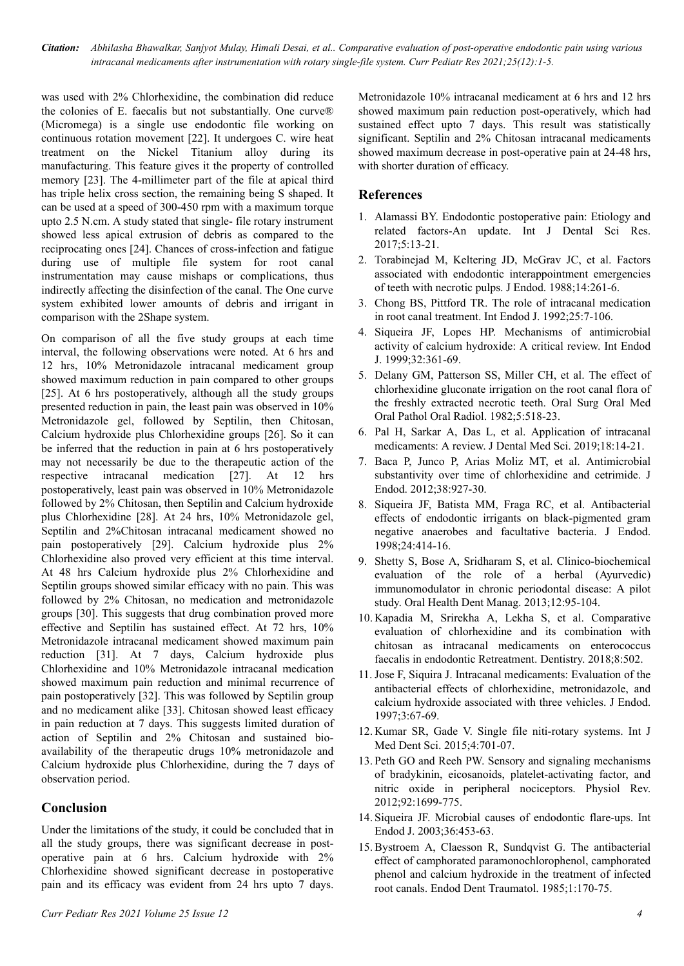*Citation: Abhilasha Bhawalkar, Sanjyot Mulay, Himali Desai, et al.. Comparative evaluation of post-operative endodontic pain using various intracanal medicaments after instrumentation with rotary single-file system. Curr Pediatr Res 2021;25(12):1-5.*

was used with 2% Chlorhexidine, the combination did reduce the colonies of E. faecalis but not substantially. One curve® (Micromega) is a single use endodontic file working on continuous rotation movement [22]. It undergoes C. wire heat treatment on the Nickel Titanium alloy during its manufacturing. This feature gives it the property of controlled memory [23]. The 4-millimeter part of the file at apical third has triple helix cross section, the remaining being S shaped. It can be used at a speed of 300-450 rpm with a maximum torque upto 2.5 N.cm. A study stated that single- file rotary instrument showed less apical extrusion of debris as compared to the reciprocating ones [24]. Chances of cross-infection and fatigue during use of multiple file system for root canal instrumentation may cause mishaps or complications, thus indirectly affecting the disinfection of the canal. The One curve system exhibited lower amounts of debris and irrigant in comparison with the 2Shape system.

On comparison of all the five study groups at each time interval, the following observations were noted. At 6 hrs and 12 hrs, 10% Metronidazole intracanal medicament group showed maximum reduction in pain compared to other groups [25]. At 6 hrs postoperatively, although all the study groups presented reduction in pain, the least pain was observed in 10% Metronidazole gel, followed by Septilin, then Chitosan, Calcium hydroxide plus Chlorhexidine groups [26]. So it can be inferred that the reduction in pain at 6 hrs postoperatively may not necessarily be due to the therapeutic action of the respective intracanal medication [27]. At 12 hrs postoperatively, least pain was observed in 10% Metronidazole followed by 2% Chitosan, then Septilin and Calcium hydroxide plus Chlorhexidine [28]. At 24 hrs, 10% Metronidazole gel, Septilin and 2%Chitosan intracanal medicament showed no pain postoperatively [29]. Calcium hydroxide plus 2% Chlorhexidine also proved very efficient at this time interval. At 48 hrs Calcium hydroxide plus 2% Chlorhexidine and Septilin groups showed similar efficacy with no pain. This was followed by 2% Chitosan, no medication and metronidazole groups [30]. This suggests that drug combination proved more effective and Septilin has sustained effect. At 72 hrs, 10% Metronidazole intracanal medicament showed maximum pain reduction [31]. At 7 days, Calcium hydroxide plus Chlorhexidine and 10% Metronidazole intracanal medication showed maximum pain reduction and minimal recurrence of pain postoperatively [32]. This was followed by Septilin group and no medicament alike [33]. Chitosan showed least efficacy in pain reduction at 7 days. This suggests limited duration of action of Septilin and 2% Chitosan and sustained bioavailability of the therapeutic drugs 10% metronidazole and Calcium hydroxide plus Chlorhexidine, during the 7 days of observation period.

# **Conclusion**

Under the limitations of the study, it could be concluded that in all the study groups, there was significant decrease in postoperative pain at 6 hrs. Calcium hydroxide with 2% Chlorhexidine showed significant decrease in postoperative pain and its efficacy was evident from 24 hrs upto 7 days.

Metronidazole 10% intracanal medicament at 6 hrs and 12 hrs showed maximum pain reduction post-operatively, which had sustained effect upto 7 days. This result was statistically significant. Septilin and 2% Chitosan intracanal medicaments showed maximum decrease in post-operative pain at 24-48 hrs, with shorter duration of efficacy.

# **References**

- 1. Alamassi BY. Endodontic postoperative pain: Etiology and related factors-An update. Int J Dental Sci Res. 2017;5:13-21.
- 2. [Torabinejad M, Keltering JD, McGrav JC, et al. Factors](https://doi.org/10.1016/s0099-2399(88)80181-x) [associated with endodontic interappointment emergencies](https://doi.org/10.1016/s0099-2399(88)80181-x) [of teeth with necrotic pulps. J Endod. 1988;14:261-6](https://doi.org/10.1016/s0099-2399(88)80181-x).
- 3. [Chong BS, Pittford TR. The role of intracanal medication](https://doi.org/10.1111/j.1365-2591.1992.tb00743.x) [in root canal treatment. Int Endod J. 1992;25:7-106.](https://doi.org/10.1111/j.1365-2591.1992.tb00743.x)
- 4. [Siqueira JF, Lopes HP. Mechanisms of antimicrobial](https://doi.org/10.1046/j.1365-2591.1999.00275.x) [activity of calcium hydroxide: A critical review. Int Endod](https://doi.org/10.1046/j.1365-2591.1999.00275.x) [J. 1999;32:361-69.](https://doi.org/10.1046/j.1365-2591.1999.00275.x)
- 5. [Delany GM, Patterson SS, Miller CH, et al. The effect of](https://doi.org/10.1016/0030-4220(82)90469-8) [chlorhexidine gluconate irrigation on the root canal flora of](https://doi.org/10.1016/0030-4220(82)90469-8) [the freshly extracted necrotic teeth. Oral Surg Oral Med](https://doi.org/10.1016/0030-4220(82)90469-8) [Oral Pathol Oral Radiol. 1982;5:518-23](https://doi.org/10.1016/0030-4220(82)90469-8).
- 6. Pal H, Sarkar A, Das L, et al. Application of intracanal medicaments: A review. J Dental Med Sci. 2019;18:14-21.
- 7. [Baca P, Junco P, Arias Moliz MT, et al. Antimicrobial](https://doi.org/10.1016/j.joen.2012.04.003) [substantivity over time of chlorhexidine and cetrimide. J](https://doi.org/10.1016/j.joen.2012.04.003) [Endod. 2012;38:927-30](https://doi.org/10.1016/j.joen.2012.04.003).
- 8. [Siqueira JF, Batista MM, Fraga RC, et al. Antibacterial](https://doi.org/10.1016/s0099-2399(98)80023-x) [effects of endodontic irrigants on black-pigmented gram](https://doi.org/10.1016/s0099-2399(98)80023-x) [negative anaerobes and facultative bacteria. J Endod.](https://doi.org/10.1016/s0099-2399(98)80023-x) [1998;24:414-16](https://doi.org/10.1016/s0099-2399(98)80023-x).
- 9. Shetty S, Bose A, Sridharam S, et al. Clinico-biochemical evaluation of the role of a herbal (Ayurvedic) immunomodulator in chronic periodontal disease: A pilot study. Oral Health Dent Manag. 2013;12:95-104.
- 10. Kapadia M, Srirekha A, Lekha S, et al. Comparative evaluation of chlorhexidine and its combination with chitosan as intracanal medicaments on enterococcus faecalis in endodontic Retreatment. Dentistry. 2018;8:502.
- 11. [Jose F, Siquira J. Intracanal medicaments: Evaluation of the](https://doi.org/10.1016/s0099-2399(97)80268-3) [antibacterial effects of chlorhexidine, metronidazole, and](https://doi.org/10.1016/s0099-2399(97)80268-3) [calcium hydroxide associated with three vehicles. J Endod.](https://doi.org/10.1016/s0099-2399(97)80268-3) [1997;3:67-69](https://doi.org/10.1016/s0099-2399(97)80268-3).
- 12. Kumar SR, Gade V. Single file niti-rotary systems. Int J Med Dent Sci. 2015;4:701-07.
- 13. [Peth GO and Reeh PW. Sensory and signaling mechanisms](https://doi.org/10.1152/physrev.00048.2010) [of bradykinin, eicosanoids, platelet-activating factor, and](https://doi.org/10.1152/physrev.00048.2010) [nitric oxide in peripheral nociceptors. Physiol Rev.](https://doi.org/10.1152/physrev.00048.2010) [2012;92:1699-775](https://doi.org/10.1152/physrev.00048.2010).
- 14. [Siqueira JF. Microbial causes of endodontic flare-ups. Int](https://doi.org/10.1046/j.1365-2591.2003.00671.x) [Endod J. 2003;36:453-63.](https://doi.org/10.1046/j.1365-2591.2003.00671.x)
- 15. [Bystroem A, Claesson R, Sundqvist G. The antibacterial](https://doi.org/10.1111/j.1600-9657.1985.tb00652.x) [effect of camphorated paramonochlorophenol, camphorated](https://doi.org/10.1111/j.1600-9657.1985.tb00652.x) [phenol and calcium hydroxide in the treatment of infected](https://doi.org/10.1111/j.1600-9657.1985.tb00652.x) [root canals. Endod Dent Traumatol. 1985;1:170-75.](https://doi.org/10.1111/j.1600-9657.1985.tb00652.x)